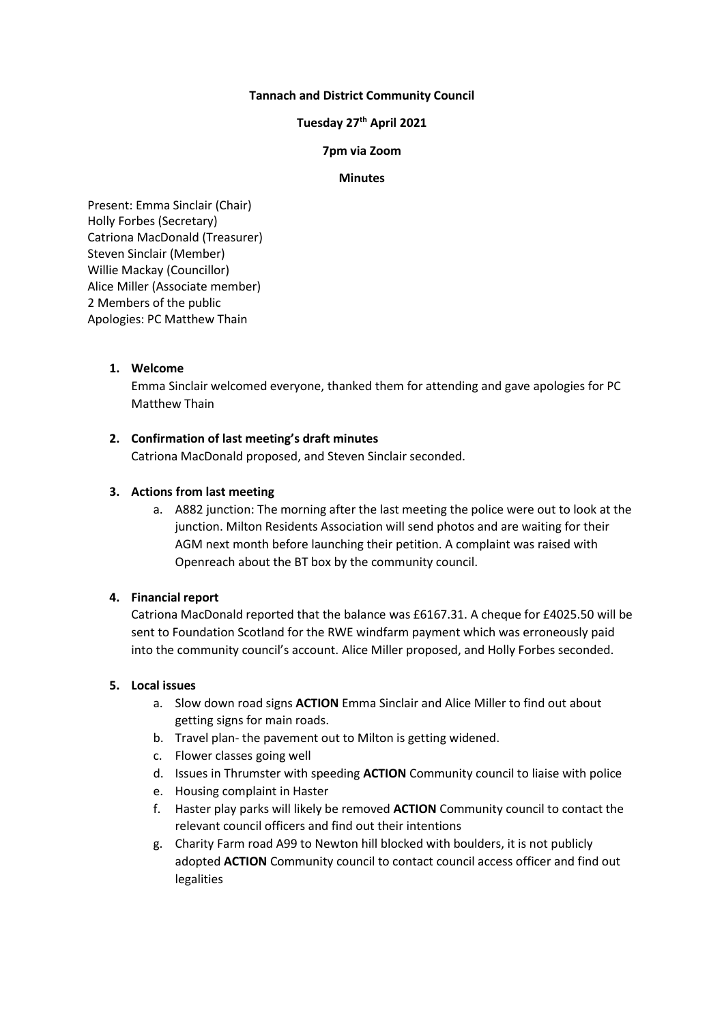## **Tannach and District Community Council**

# **Tuesday 27th April 2021**

### **7pm via Zoom**

#### **Minutes**

Present: Emma Sinclair (Chair) Holly Forbes (Secretary) Catriona MacDonald (Treasurer) Steven Sinclair (Member) Willie Mackay (Councillor) Alice Miller (Associate member) 2 Members of the public Apologies: PC Matthew Thain

### **1. Welcome**

Emma Sinclair welcomed everyone, thanked them for attending and gave apologies for PC Matthew Thain

### **2. Confirmation of last meeting's draft minutes**

Catriona MacDonald proposed, and Steven Sinclair seconded.

### **3. Actions from last meeting**

a. A882 junction: The morning after the last meeting the police were out to look at the junction. Milton Residents Association will send photos and are waiting for their AGM next month before launching their petition. A complaint was raised with Openreach about the BT box by the community council.

### **4. Financial report**

Catriona MacDonald reported that the balance was £6167.31. A cheque for £4025.50 will be sent to Foundation Scotland for the RWE windfarm payment which was erroneously paid into the community council's account. Alice Miller proposed, and Holly Forbes seconded.

### **5. Local issues**

- a. Slow down road signs **ACTION** Emma Sinclair and Alice Miller to find out about getting signs for main roads.
- b. Travel plan- the pavement out to Milton is getting widened.
- c. Flower classes going well
- d. Issues in Thrumster with speeding **ACTION** Community council to liaise with police
- e. Housing complaint in Haster
- f. Haster play parks will likely be removed **ACTION** Community council to contact the relevant council officers and find out their intentions
- g. Charity Farm road A99 to Newton hill blocked with boulders, it is not publicly adopted **ACTION** Community council to contact council access officer and find out legalities